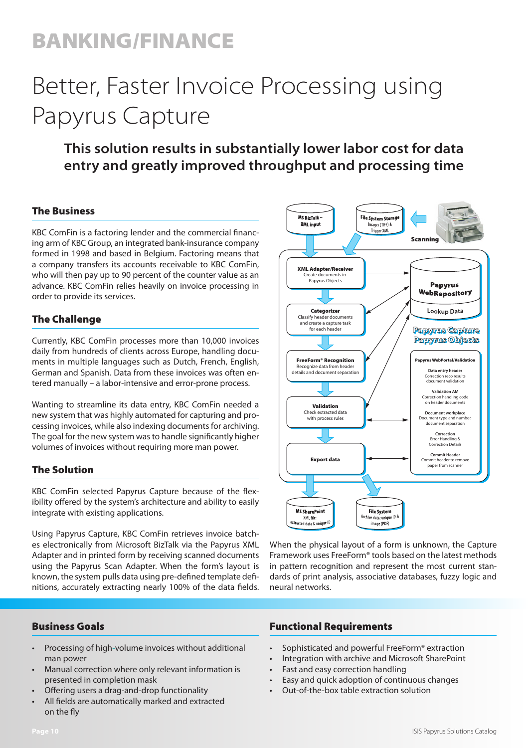## BANKING/FINANCE

# Better, Faster Invoice Processing using Papyrus Capture

### **This solution results in substantially lower labor cost for data entry and greatly improved throughput and processing time**

#### The Business

KBC ComFin is a factoring lender and the commercial financing arm of KBC Group, an integrated bank-insurance company formed in 1998 and based in Belgium. Factoring means that a company transfers its accounts receivable to KBC ComFin, who will then pay up to 90 percent of the counter value as an advance. KBC ComFin relies heavily on invoice processing in order to provide its services.

#### The Challenge

Currently, KBC ComFin processes more than 10,000 invoices daily from hundreds of clients across Europe, handling documents in multiple languages such as Dutch, French, English, German and Spanish. Data from these invoices was often entered manually – a labor-intensive and error-prone process.

Wanting to streamline its data entry, KBC ComFin needed a new system that was highly automated for capturing and processing invoices, while also indexing documents for archiving. The goal for the new system was to handle significantly higher volumes of invoices without requiring more man power.

#### The Solution

KBC ComFin selected Papyrus Capture because of the flexibility offered by the system's architecture and ability to easily integrate with existing applications.

Using Papyrus Capture, KBC ComFin retrieves invoice batches electronically from Microsoft BizTalk via the Papyrus XML Adapter and in printed form by receiving scanned documents using the Papyrus Scan Adapter. When the form's layout is known, the system pulls data using pre-defined template definitions, accurately extracting nearly 100% of the data fields.

#### Business Goals

- Processing of high-volume invoices without additional man power
- Manual correction where only relevant information is presented in completion mask
- Offering users a drag-and-drop functionality
- All fields are automatically marked and extracted on the fly



When the physical layout of a form is unknown, the Capture Framework uses FreeForm® tools based on the latest methods in pattern recognition and represent the most current standards of print analysis, associative databases, fuzzy logic and neural networks.

#### Functional Requirements

- Sophisticated and powerful FreeForm® extraction
- Integration with archive and Microsoft SharePoint
- Fast and easy correction handling
- Easy and quick adoption of continuous changes
- Out-of-the-box table extraction solution